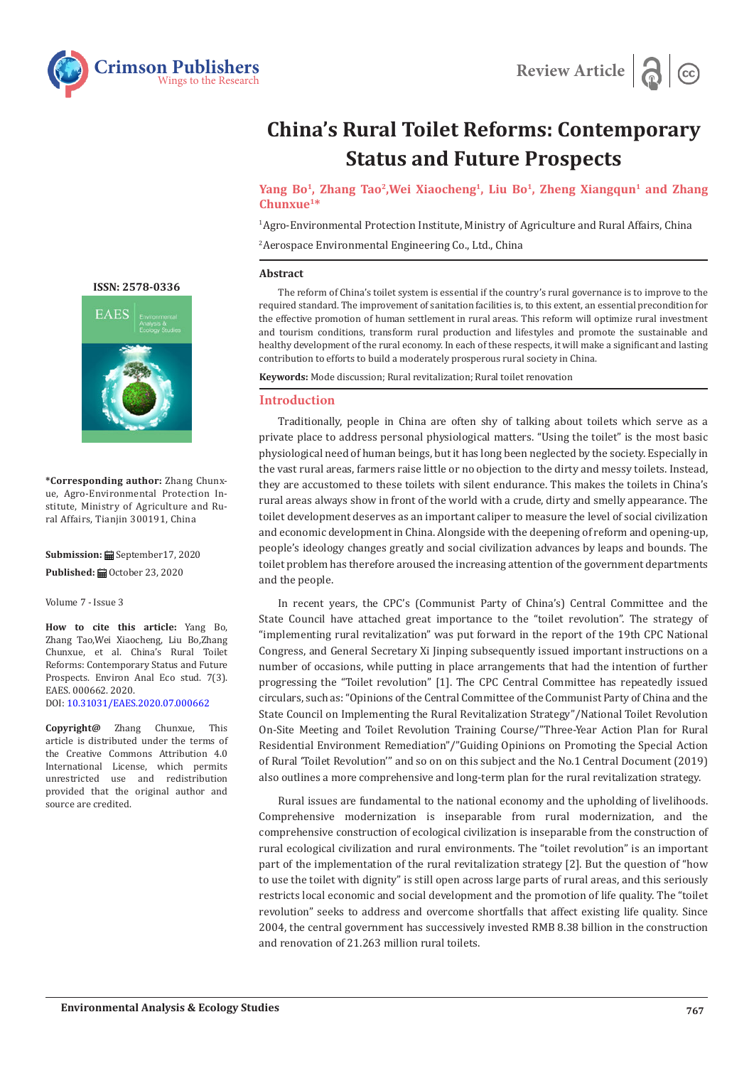



# **China's Rural Toilet Reforms: Contemporary Status and Future Prospects**

Yang Bo<sup>1</sup>, Zhang Tao<sup>2</sup>, Wei Xiaocheng<sup>1</sup>, Liu Bo<sup>1</sup>, Zheng Xiangqun<sup>1</sup> and Zhang **Chunxue1\***

1 Agro-Environmental Protection Institute, Ministry of Agriculture and Rural Affairs, China

2 Aerospace Environmental Engineering Co., Ltd., China

### **Abstract**

The reform of China's toilet system is essential if the country's rural governance is to improve to the required standard. The improvement of sanitation facilities is, to this extent, an essential precondition for the effective promotion of human settlement in rural areas. This reform will optimize rural investment and tourism conditions, transform rural production and lifestyles and promote the sustainable and healthy development of the rural economy. In each of these respects, it will make a significant and lasting contribution to efforts to build a moderately prosperous rural society in China.

**Keywords:** Mode discussion; Rural revitalization; Rural toilet renovation

### **Introduction**

Traditionally, people in China are often shy of talking about toilets which serve as a private place to address personal physiological matters. "Using the toilet" is the most basic physiological need of human beings, but it has long been neglected by the society. Especially in the vast rural areas, farmers raise little or no objection to the dirty and messy toilets. Instead, they are accustomed to these toilets with silent endurance. This makes the toilets in China's rural areas always show in front of the world with a crude, dirty and smelly appearance. The toilet development deserves as an important caliper to measure the level of social civilization and economic development in China. Alongside with the deepening of reform and opening-up, people's ideology changes greatly and social civilization advances by leaps and bounds. The toilet problem has therefore aroused the increasing attention of the government departments and the people.

In recent years, the CPC's (Communist Party of China's) Central Committee and the State Council have attached great importance to the "toilet revolution". The strategy of "implementing rural revitalization" was put forward in the report of the 19th CPC National Congress, and General Secretary Xi Jinping subsequently issued important instructions on a number of occasions, while putting in place arrangements that had the intention of further progressing the "Toilet revolution" [1]. The CPC Central Committee has repeatedly issued circulars, such as: "Opinions of the Central Committee of the Communist Party of China and the State Council on Implementing the Rural Revitalization Strategy"/National Toilet Revolution On-Site Meeting and Toilet Revolution Training Course/"Three-Year Action Plan for Rural Residential Environment Remediation"/"Guiding Opinions on Promoting the Special Action of Rural 'Toilet Revolution'" and so on on this subject and the No.1 Central Document (2019) also outlines a more comprehensive and long-term plan for the rural revitalization strategy.

Rural issues are fundamental to the national economy and the upholding of livelihoods. Comprehensive modernization is inseparable from rural modernization, and the comprehensive construction of ecological civilization is inseparable from the construction of rural ecological civilization and rural environments. The "toilet revolution" is an important part of the implementation of the rural revitalization strategy [2]. But the question of "how to use the toilet with dignity" is still open across large parts of rural areas, and this seriously restricts local economic and social development and the promotion of life quality. The "toilet revolution" seeks to address and overcome shortfalls that affect existing life quality. Since 2004, the central government has successively invested RMB 8.38 billion in the construction and renovation of 21.263 million rural toilets.

#### **[ISSN: 2578-0336](https://www.crimsonpublishers.com/eaes/)**



**\*Corresponding author:** Zhang Chunxue, Agro-Environmental Protection Institute, Ministry of Agriculture and Rural Affairs, Tianjin 300191, China

**Submission:** September17, 2020 **Published: ■** October 23, 2020

Volume 7 - Issue 3

**How to cite this article:** Yang Bo, Zhang Tao,Wei Xiaocheng, Liu Bo,Zhang Chunxue, et al. China's Rural Toilet Reforms: Contemporary Status and Future Prospects. Environ Anal Eco stud. 7(3). EAES. 000662. 2020. DOI: [10.31031/EAES.2020.07.00066](http://dx.doi.org/10.31031/EAES.2020.07.000662)2

**Copyright@** Zhang Chunxue, This article is distributed under the terms of the Creative Commons Attribution 4.0 International License, which permits unrestricted use and redistribution provided that the original author and source are credited.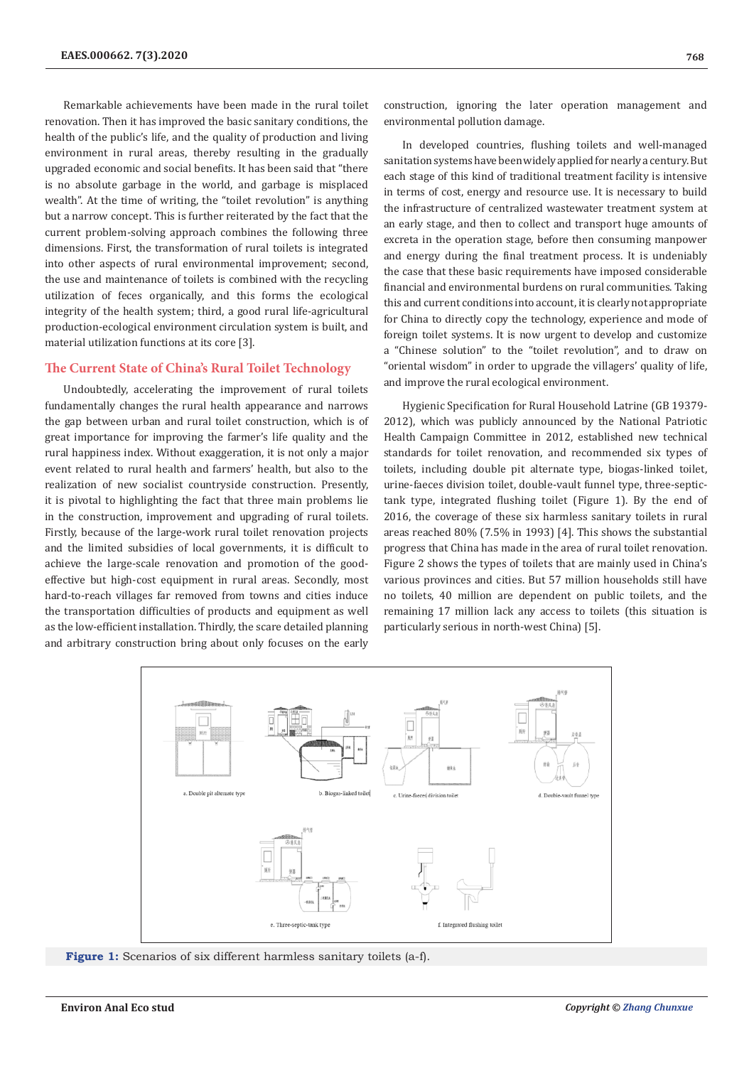Remarkable achievements have been made in the rural toilet renovation. Then it has improved the basic sanitary conditions, the health of the public's life, and the quality of production and living environment in rural areas, thereby resulting in the gradually upgraded economic and social benefits. It has been said that "there is no absolute garbage in the world, and garbage is misplaced wealth". At the time of writing, the "toilet revolution" is anything but a narrow concept. This is further reiterated by the fact that the current problem-solving approach combines the following three dimensions. First, the transformation of rural toilets is integrated into other aspects of rural environmental improvement; second, the use and maintenance of toilets is combined with the recycling utilization of feces organically, and this forms the ecological integrity of the health system; third, a good rural life-agricultural production-ecological environment circulation system is built, and material utilization functions at its core [3].

### **The Current State of China's Rural Toilet Technology**

Undoubtedly, accelerating the improvement of rural toilets fundamentally changes the rural health appearance and narrows the gap between urban and rural toilet construction, which is of great importance for improving the farmer's life quality and the rural happiness index. Without exaggeration, it is not only a major event related to rural health and farmers' health, but also to the realization of new socialist countryside construction. Presently, it is pivotal to highlighting the fact that three main problems lie in the construction, improvement and upgrading of rural toilets. Firstly, because of the large-work rural toilet renovation projects and the limited subsidies of local governments, it is difficult to achieve the large-scale renovation and promotion of the goodeffective but high-cost equipment in rural areas. Secondly, most hard-to-reach villages far removed from towns and cities induce the transportation difficulties of products and equipment as well as the low-efficient installation. Thirdly, the scare detailed planning and arbitrary construction bring about only focuses on the early

construction, ignoring the later operation management and environmental pollution damage.

In developed countries, flushing toilets and well-managed sanitation systems have been widely applied for nearly a century. But each stage of this kind of traditional treatment facility is intensive in terms of cost, energy and resource use. It is necessary to build the infrastructure of centralized wastewater treatment system at an early stage, and then to collect and transport huge amounts of excreta in the operation stage, before then consuming manpower and energy during the final treatment process. It is undeniably the case that these basic requirements have imposed considerable financial and environmental burdens on rural communities. Taking this and current conditions into account, it is clearly not appropriate for China to directly copy the technology, experience and mode of foreign toilet systems. It is now urgent to develop and customize a "Chinese solution" to the "toilet revolution", and to draw on "oriental wisdom" in order to upgrade the villagers' quality of life, and improve the rural ecological environment.

Hygienic Specification for Rural Household Latrine (GB 19379- 2012), which was publicly announced by the National Patriotic Health Campaign Committee in 2012, established new technical standards for toilet renovation, and recommended six types of toilets, including double pit alternate type, biogas-linked toilet, urine-faeces division toilet, double-vault funnel type, three-septictank type, integrated flushing toilet (Figure 1). By the end of 2016, the coverage of these six harmless sanitary toilets in rural areas reached 80% (7.5% in 1993) [4]. This shows the substantial progress that China has made in the area of rural toilet renovation. Figure 2 shows the types of toilets that are mainly used in China's various provinces and cities. But 57 million households still have no toilets, 40 million are dependent on public toilets, and the remaining 17 million lack any access to toilets (this situation is particularly serious in north-west China) [5].



Figure 1: Scenarios of six different harmless sanitary toilets (a-f).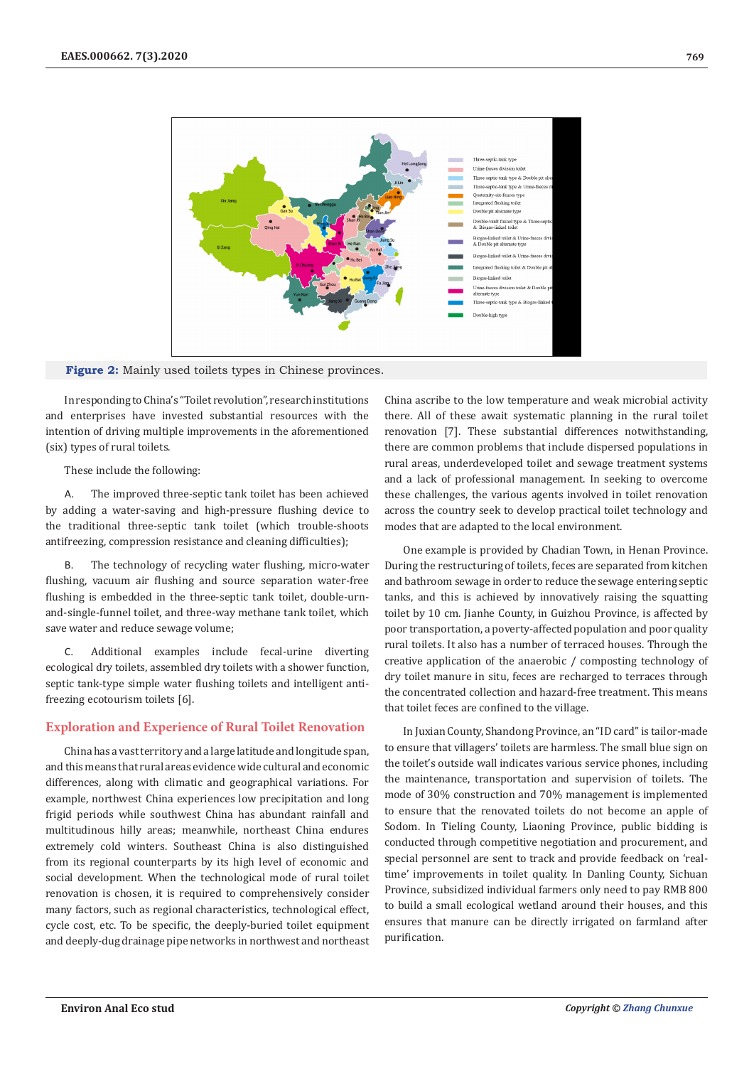

**Figure 2:** Mainly used toilets types in Chinese provinces.

In responding to China's "Toilet revolution", research institutions and enterprises have invested substantial resources with the intention of driving multiple improvements in the aforementioned (six) types of rural toilets.

These include the following:

A. The improved three-septic tank toilet has been achieved by adding a water-saving and high-pressure flushing device to the traditional three-septic tank toilet (which trouble-shoots antifreezing, compression resistance and cleaning difficulties);

B. The technology of recycling water flushing, micro-water flushing, vacuum air flushing and source separation water-free flushing is embedded in the three-septic tank toilet, double-urnand-single-funnel toilet, and three-way methane tank toilet, which save water and reduce sewage volume;

C. Additional examples include fecal-urine diverting ecological dry toilets, assembled dry toilets with a shower function, septic tank-type simple water flushing toilets and intelligent antifreezing ecotourism toilets [6].

### **Exploration and Experience of Rural Toilet Renovation**

China has a vast territory and a large latitude and longitude span, and this means that rural areas evidence wide cultural and economic differences, along with climatic and geographical variations. For example, northwest China experiences low precipitation and long frigid periods while southwest China has abundant rainfall and multitudinous hilly areas; meanwhile, northeast China endures extremely cold winters. Southeast China is also distinguished from its regional counterparts by its high level of economic and social development. When the technological mode of rural toilet renovation is chosen, it is required to comprehensively consider many factors, such as regional characteristics, technological effect, cycle cost, etc. To be specific, the deeply-buried toilet equipment and deeply-dug drainage pipe networks in northwest and northeast

China ascribe to the low temperature and weak microbial activity there. All of these await systematic planning in the rural toilet renovation [7]. These substantial differences notwithstanding, there are common problems that include dispersed populations in rural areas, underdeveloped toilet and sewage treatment systems and a lack of professional management. In seeking to overcome these challenges, the various agents involved in toilet renovation across the country seek to develop practical toilet technology and modes that are adapted to the local environment.

One example is provided by Chadian Town, in Henan Province. During the restructuring of toilets, feces are separated from kitchen and bathroom sewage in order to reduce the sewage entering septic tanks, and this is achieved by innovatively raising the squatting toilet by 10 cm. Jianhe County, in Guizhou Province, is affected by poor transportation, a poverty-affected population and poor quality rural toilets. It also has a number of terraced houses. Through the creative application of the anaerobic / composting technology of dry toilet manure in situ, feces are recharged to terraces through the concentrated collection and hazard-free treatment. This means that toilet feces are confined to the village.

In Juxian County, Shandong Province, an "ID card" is tailor-made to ensure that villagers' toilets are harmless. The small blue sign on the toilet's outside wall indicates various service phones, including the maintenance, transportation and supervision of toilets. The mode of 30% construction and 70% management is implemented to ensure that the renovated toilets do not become an apple of Sodom. In Tieling County, Liaoning Province, public bidding is conducted through competitive negotiation and procurement, and special personnel are sent to track and provide feedback on 'realtime' improvements in toilet quality. In Danling County, Sichuan Province, subsidized individual farmers only need to pay RMB 800 to build a small ecological wetland around their houses, and this ensures that manure can be directly irrigated on farmland after purification.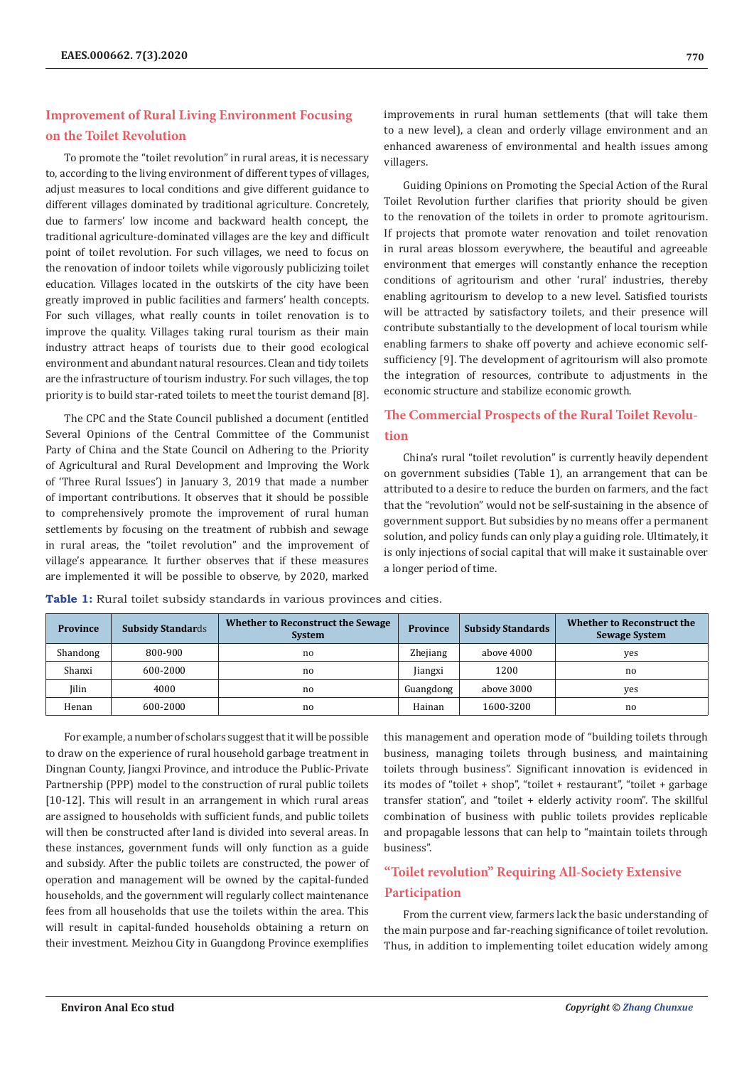### **Improvement of Rural Living Environment Focusing on the Toilet Revolution**

To promote the "toilet revolution" in rural areas, it is necessary to, according to the living environment of different types of villages, adjust measures to local conditions and give different guidance to different villages dominated by traditional agriculture. Concretely, due to farmers' low income and backward health concept, the traditional agriculture-dominated villages are the key and difficult point of toilet revolution. For such villages, we need to focus on the renovation of indoor toilets while vigorously publicizing toilet education. Villages located in the outskirts of the city have been greatly improved in public facilities and farmers' health concepts. For such villages, what really counts in toilet renovation is to improve the quality. Villages taking rural tourism as their main industry attract heaps of tourists due to their good ecological environment and abundant natural resources. Clean and tidy toilets are the infrastructure of tourism industry. For such villages, the top priority is to build star-rated toilets to meet the tourist demand [8].

The CPC and the State Council published a document (entitled Several Opinions of the Central Committee of the Communist Party of China and the State Council on Adhering to the Priority of Agricultural and Rural Development and Improving the Work of 'Three Rural Issues') in January 3, 2019 that made a number of important contributions. It observes that it should be possible to comprehensively promote the improvement of rural human settlements by focusing on the treatment of rubbish and sewage in rural areas, the "toilet revolution" and the improvement of village's appearance. It further observes that if these measures are implemented it will be possible to observe, by 2020, marked

improvements in rural human settlements (that will take them to a new level), a clean and orderly village environment and an enhanced awareness of environmental and health issues among villagers.

Guiding Opinions on Promoting the Special Action of the Rural Toilet Revolution further clarifies that priority should be given to the renovation of the toilets in order to promote agritourism. If projects that promote water renovation and toilet renovation in rural areas blossom everywhere, the beautiful and agreeable environment that emerges will constantly enhance the reception conditions of agritourism and other 'rural' industries, thereby enabling agritourism to develop to a new level. Satisfied tourists will be attracted by satisfactory toilets, and their presence will contribute substantially to the development of local tourism while enabling farmers to shake off poverty and achieve economic selfsufficiency [9]. The development of agritourism will also promote the integration of resources, contribute to adjustments in the economic structure and stabilize economic growth.

### **The Commercial Prospects of the Rural Toilet Revolution**

China's rural "toilet revolution" is currently heavily dependent on government subsidies (Table 1), an arrangement that can be attributed to a desire to reduce the burden on farmers, and the fact that the "revolution" would not be self-sustaining in the absence of government support. But subsidies by no means offer a permanent solution, and policy funds can only play a guiding role. Ultimately, it is only injections of social capital that will make it sustainable over a longer period of time.

| <b>Province</b> | <b>Subsidy Standards</b> | <b>Whether to Reconstruct the Sewage</b><br><b>System</b> | <b>Province</b> | <b>Subsidy Standards</b> | Whether to Reconstruct the<br><b>Sewage System</b> |
|-----------------|--------------------------|-----------------------------------------------------------|-----------------|--------------------------|----------------------------------------------------|
| Shandong        | 800-900                  | no                                                        | Zhejiang        | above 4000               | yes                                                |
| Shanxi          | 600-2000                 | n <sub>0</sub>                                            | Jiangxi         | 1200                     | no                                                 |
| Jilin           | 4000                     | n <sub>0</sub>                                            | Guangdong       | above 3000               | yes                                                |
| Henan           | 600-2000                 | n <sub>0</sub>                                            | Hainan          | 1600-3200                | no                                                 |

**Table 1:** Rural toilet subsidy standards in various provinces and cities.

For example, a number of scholars suggest that it will be possible to draw on the experience of rural household garbage treatment in Dingnan County, Jiangxi Province, and introduce the Public-Private Partnership (PPP) model to the construction of rural public toilets [10-12]. This will result in an arrangement in which rural areas are assigned to households with sufficient funds, and public toilets will then be constructed after land is divided into several areas. In these instances, government funds will only function as a guide and subsidy. After the public toilets are constructed, the power of operation and management will be owned by the capital-funded households, and the government will regularly collect maintenance fees from all households that use the toilets within the area. This will result in capital-funded households obtaining a return on their investment. Meizhou City in Guangdong Province exemplifies

this management and operation mode of "building toilets through business, managing toilets through business, and maintaining toilets through business". Significant innovation is evidenced in its modes of "toilet + shop", "toilet + restaurant", "toilet + garbage transfer station", and "toilet + elderly activity room". The skillful combination of business with public toilets provides replicable and propagable lessons that can help to "maintain toilets through business".

## **"Toilet revolution" Requiring All-Society Extensive Participation**

From the current view, farmers lack the basic understanding of the main purpose and far-reaching significance of toilet revolution. Thus, in addition to implementing toilet education widely among